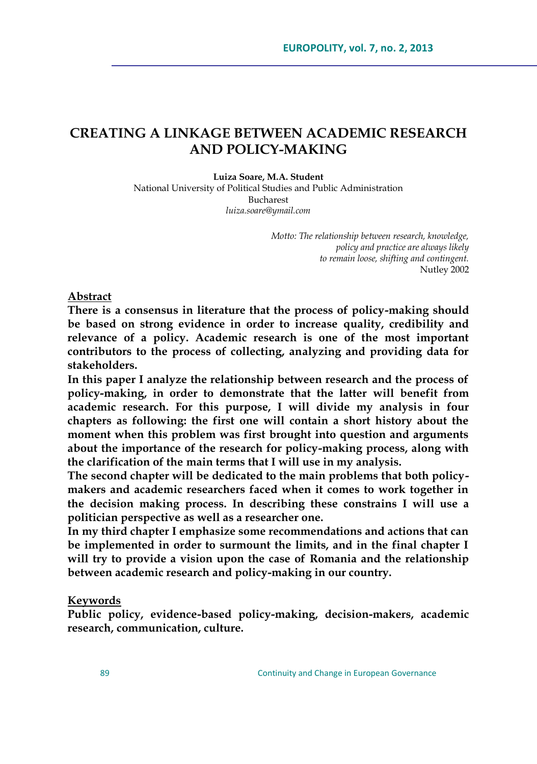# **CREATING A LINKAGE BETWEEN ACADEMIC RESEARCH AND POLICY-MAKING**

**Luiza Soare, M.A. Student**

National University of Political Studies and Public Administration Bucharest *[luiza.soare@ymail.com](mailto:luiza.soare@ymail.com)*

> *Motto: The relationship between research, knowledge, policy and practice are always likely to remain loose, shifting and contingent.* Nutley 2002

**Abstract**

**There is a consensus in literature that the process of policy-making should be based on strong evidence in order to increase quality, credibility and relevance of a policy. Academic research is one of the most important contributors to the process of collecting, analyzing and providing data for stakeholders.**

**In this paper I analyze the relationship between research and the process of policy-making, in order to demonstrate that the latter will benefit from academic research. For this purpose, I will divide my analysis in four chapters as following: the first one will contain a short history about the moment when this problem was first brought into question and arguments about the importance of the research for policy-making process, along with the clarification of the main terms that I will use in my analysis.** 

**The second chapter will be dedicated to the main problems that both policymakers and academic researchers faced when it comes to work together in the decision making process. In describing these constrains I will use a politician perspective as well as a researcher one.**

**In my third chapter I emphasize some recommendations and actions that can be implemented in order to surmount the limits, and in the final chapter I will try to provide a vision upon the case of Romania and the relationship between academic research and policy-making in our country.**

#### **Keywords**

**Public policy, evidence-based policy-making, decision-makers, academic research, communication, culture.**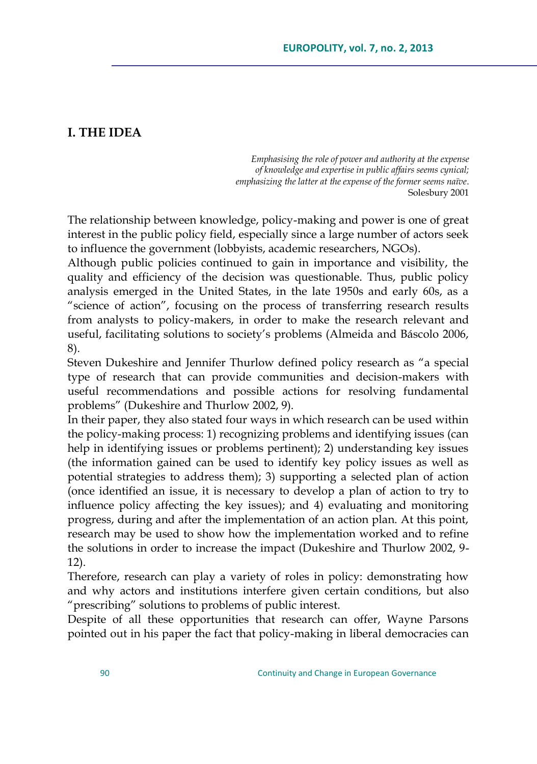# **I. THE IDEA**

*Emphasising the role of power and authority at the expense of knowledge and expertise in public affairs seems cynical; emphasizing the latter at the expense of the former seems naïve*. Solesbury 2001

The relationship between knowledge, policy-making and power is one of great interest in the public policy field, especially since a large number of actors seek to influence the government (lobbyists, academic researchers, NGOs).

Although public policies continued to gain in importance and visibility, the quality and efficiency of the decision was questionable. Thus, public policy analysis emerged in the United States, in the late 1950s and early 60s, as a "science of action", focusing on the process of transferring research results from analysts to policy-makers, in order to make the research relevant and useful, facilitating solutions to society"s problems (Almeida and Báscolo 2006, 8).

Steven Dukeshire and Jennifer Thurlow defined policy research as "a special type of research that can provide communities and decision-makers with useful recommendations and possible actions for resolving fundamental problems" (Dukeshire and Thurlow 2002, 9).

In their paper, they also stated four ways in which research can be used within the policy-making process: 1) recognizing problems and identifying issues (can help in identifying issues or problems pertinent); 2) understanding key issues (the information gained can be used to identify key policy issues as well as potential strategies to address them); 3) supporting a selected plan of action (once identified an issue, it is necessary to develop a plan of action to try to influence policy affecting the key issues); and 4) evaluating and monitoring progress, during and after the implementation of an action plan. At this point, research may be used to show how the implementation worked and to refine the solutions in order to increase the impact (Dukeshire and Thurlow 2002, 9- 12).

Therefore, research can play a variety of roles in policy: demonstrating how and why actors and institutions interfere given certain conditions, but also "prescribing" solutions to problems of public interest.

Despite of all these opportunities that research can offer, Wayne Parsons pointed out in his paper the fact that policy-making in liberal democracies can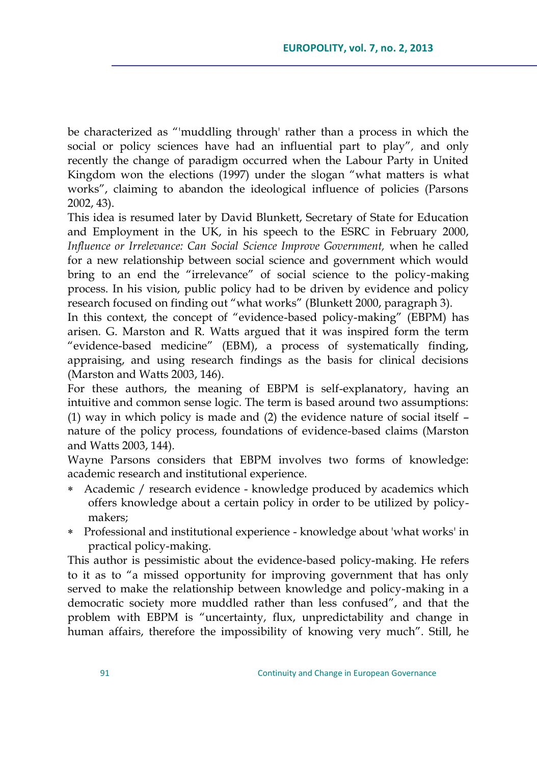be characterized as "'muddling through' rather than a process in which the social or policy sciences have had an influential part to play"*,* and only recently the change of paradigm occurred when the Labour Party in United Kingdom won the elections (1997) under the slogan "what matters is what works", claiming to abandon the ideological influence of policies (Parsons 2002, 43).

This idea is resumed later by David Blunkett, Secretary of State for Education and Employment in the UK, in his speech to the ESRC in February 2000, *Influence or Irrelevance: Can Social Science Improve Government, when he called* for a new relationship between social science and government which would bring to an end the "irrelevance" of social science to the policy-making process. In his vision, public policy had to be driven by evidence and policy research focused on finding out "what works" (Blunkett 2000, paragraph 3).

In this context, the concept of "evidence-based policy-making" (EBPM) has arisen. G. Marston and R. Watts argued that it was inspired form the term "evidence-based medicine" (EBM), a process of systematically finding, appraising, and using research findings as the basis for clinical decisions (Marston and Watts 2003, 146).

For these authors, the meaning of EBPM is self-explanatory, having an intuitive and common sense logic. The term is based around two assumptions: (1) way in which policy is made and (2) the evidence nature of social itself – nature of the policy process, foundations of evidence-based claims (Marston and Watts 2003, 144).

Wayne Parsons considers that EBPM involves two forms of knowledge: academic research and institutional experience.

- Academic / research evidence knowledge produced by academics which offers knowledge about a certain policy in order to be utilized by policymakers;
- Professional and institutional experience knowledge about 'what works' in practical policy-making.

This author is pessimistic about the evidence-based policy-making. He refers to it as to "a missed opportunity for improving government that has only served to make the relationship between knowledge and policy-making in a democratic society more muddled rather than less confused", and that the problem with EBPM is "uncertainty, flux, unpredictability and change in human affairs, therefore the impossibility of knowing very much". Still, he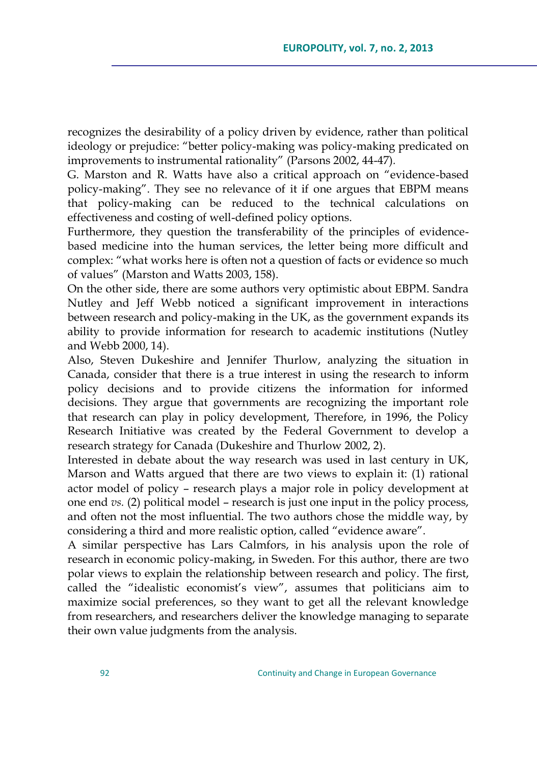recognizes the desirability of a policy driven by evidence, rather than political ideology or prejudice: "better policy-making was policy-making predicated on improvements to instrumental rationality" (Parsons 2002, 44-47)*.*

G. Marston and R. Watts have also a critical approach on "evidence-based policy-making". They see no relevance of it if one argues that EBPM means that policy-making can be reduced to the technical calculations on effectiveness and costing of well-defined policy options.

Furthermore, they question the transferability of the principles of evidencebased medicine into the human services, the letter being more difficult and complex: "what works here is often not a question of facts or evidence so much of values" (Marston and Watts 2003, 158).

On the other side, there are some authors very optimistic about EBPM. Sandra Nutley and Jeff Webb noticed a significant improvement in interactions between research and policy-making in the UK, as the government expands its ability to provide information for research to academic institutions (Nutley and Webb 2000, 14).

Also, Steven Dukeshire and Jennifer Thurlow, analyzing the situation in Canada, consider that there is a true interest in using the research to inform policy decisions and to provide citizens the information for informed decisions. They argue that governments are recognizing the important role that research can play in policy development, Therefore, in 1996, the Policy Research Initiative was created by the Federal Government to develop a research strategy for Canada (Dukeshire and Thurlow 2002, 2).

Interested in debate about the way research was used in last century in UK, Marson and Watts argued that there are two views to explain it: (1) rational actor model of policy – research plays a major role in policy development at one end *vs.* (2) political model – research is just one input in the policy process, and often not the most influential. The two authors chose the middle way, by considering a third and more realistic option, called "evidence aware".

A similar perspective has Lars Calmfors, in his analysis upon the role of research in economic policy-making, in Sweden. For this author, there are two polar views to explain the relationship between research and policy. The first, called the "idealistic economist's view", assumes that politicians aim to maximize social preferences, so they want to get all the relevant knowledge from researchers, and researchers deliver the knowledge managing to separate their own value judgments from the analysis.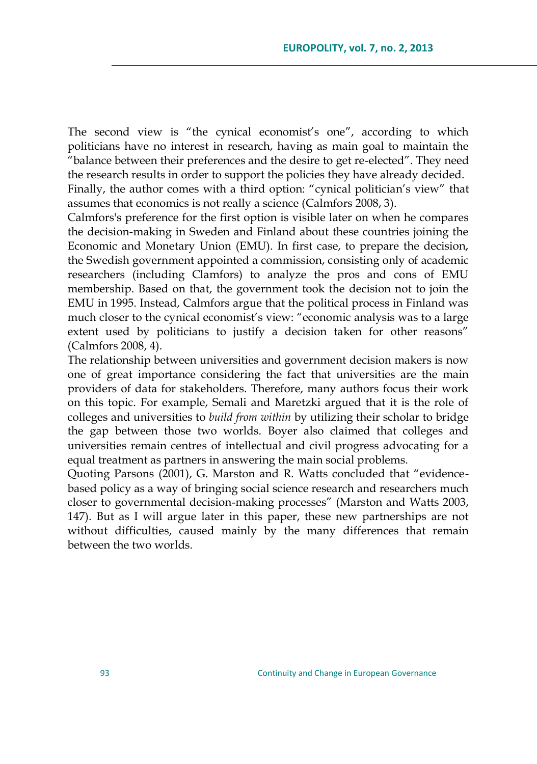The second view is "the cynical economist's one", according to which politicians have no interest in research, having as main goal to maintain the "balance between their preferences and the desire to get re-elected". They need the research results in order to support the policies they have already decided. Finally, the author comes with a third option: "cynical politician's view" that assumes that economics is not really a science (Calmfors 2008, 3).

Calmfors's preference for the first option is visible later on when he compares the decision-making in Sweden and Finland about these countries joining the Economic and Monetary Union (EMU). In first case, to prepare the decision, the Swedish government appointed a commission, consisting only of academic researchers (including Clamfors) to analyze the pros and cons of EMU membership. Based on that, the government took the decision not to join the EMU in 1995. Instead, Calmfors argue that the political process in Finland was much closer to the cynical economist"s view: "economic analysis was to a large extent used by politicians to justify a decision taken for other reasons" (Calmfors 2008, 4).

The relationship between universities and government decision makers is now one of great importance considering the fact that universities are the main providers of data for stakeholders. Therefore, many authors focus their work on this topic. For example, Semali and Maretzki argued that it is the role of colleges and universities to *build from within* by utilizing their scholar to bridge the gap between those two worlds. Boyer also claimed that colleges and universities remain centres of intellectual and civil progress advocating for a equal treatment as partners in answering the main social problems.

Quoting Parsons (2001), G. Marston and R. Watts concluded that "evidencebased policy as a way of bringing social science research and researchers much closer to governmental decision-making processes" (Marston and Watts 2003, 147). But as I will argue later in this paper, these new partnerships are not without difficulties, caused mainly by the many differences that remain between the two worlds.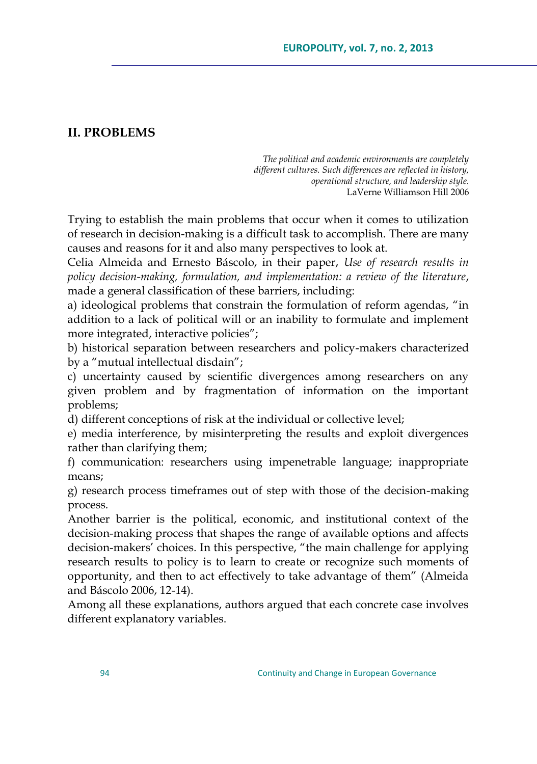# **II. PROBLEMS**

*The political and academic environments are completely different cultures. Such differences are reflected in history, operational structure, and leadership style.* LaVerne Williamson Hill 2006

Trying to establish the main problems that occur when it comes to utilization of research in decision-making is a difficult task to accomplish. There are many causes and reasons for it and also many perspectives to look at.

Celia Almeida and Ernesto Báscolo, in their paper, *Use of research results in policy decision-making, formulation, and implementation: a review of the literature*, made a general classification of these barriers, including:

a) ideological problems that constrain the formulation of reform agendas, "in addition to a lack of political will or an inability to formulate and implement more integrated, interactive policies";

b) historical separation between researchers and policy-makers characterized by a "mutual intellectual disdain";

c) uncertainty caused by scientific divergences among researchers on any given problem and by fragmentation of information on the important problems;

d) different conceptions of risk at the individual or collective level;

e) media interference, by misinterpreting the results and exploit divergences rather than clarifying them;

f) communication: researchers using impenetrable language; inappropriate means;

g) research process timeframes out of step with those of the decision-making process.

Another barrier is the political, economic, and institutional context of the decision-making process that shapes the range of available options and affects decision-makers" choices. In this perspective, "the main challenge for applying research results to policy is to learn to create or recognize such moments of opportunity, and then to act effectively to take advantage of them" (Almeida and Báscolo 2006, 12-14).

Among all these explanations, authors argued that each concrete case involves different explanatory variables.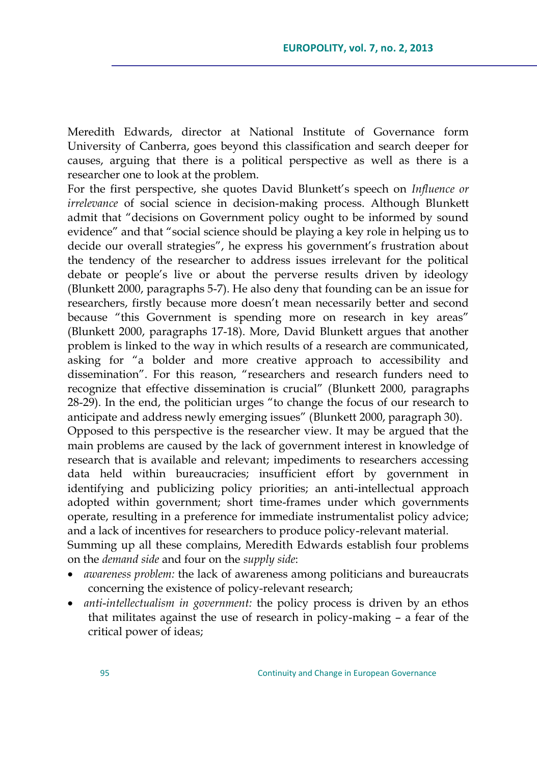Meredith Edwards, director at National Institute of Governance form University of Canberra, goes beyond this classification and search deeper for causes, arguing that there is a political perspective as well as there is a researcher one to look at the problem.

For the first perspective, she quotes David Blunkett"s speech on *Influence or irrelevance* of social science in decision-making process. Although Blunkett admit that "decisions on Government policy ought to be informed by sound evidence" and that "social science should be playing a key role in helping us to decide our overall strategies", he express his government's frustration about the tendency of the researcher to address issues irrelevant for the political debate or people"s live or about the perverse results driven by ideology (Blunkett 2000, paragraphs 5-7). He also deny that founding can be an issue for researchers, firstly because more doesn't mean necessarily better and second because "this Government is spending more on research in key areas" (Blunkett 2000, paragraphs 17-18). More, David Blunkett argues that another problem is linked to the way in which results of a research are communicated, asking for "a bolder and more creative approach to accessibility and dissemination". For this reason, "researchers and research funders need to recognize that effective dissemination is crucial" (Blunkett 2000, paragraphs 28-29). In the end, the politician urges "to change the focus of our research to anticipate and address newly emerging issues" (Blunkett 2000, paragraph 30). Opposed to this perspective is the researcher view. It may be argued that the main problems are caused by the lack of government interest in knowledge of research that is available and relevant; impediments to researchers accessing data held within bureaucracies; insufficient effort by government in identifying and publicizing policy priorities; an anti-intellectual approach adopted within government; short time-frames under which governments operate, resulting in a preference for immediate instrumentalist policy advice; and a lack of incentives for researchers to produce policy-relevant material.

Summing up all these complains, Meredith Edwards establish four problems on the *demand side* and four on the *supply side*:

- *awareness problem:* the lack of awareness among politicians and bureaucrats concerning the existence of policy-relevant research;
- *anti*-*intellectualism in government:* the policy process is driven by an ethos that militates against the use of research in policy-making – a fear of the critical power of ideas;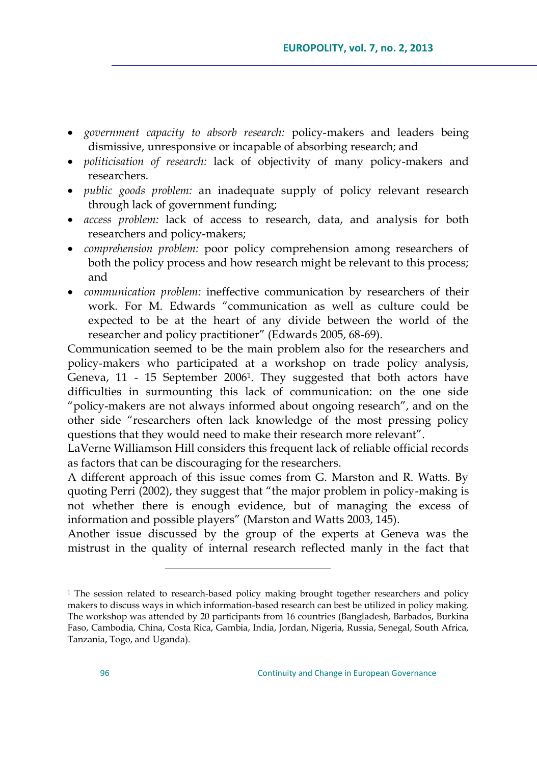- *government capacity to absorb research:* policy-makers and leaders being dismissive, unresponsive or incapable of absorbing research; and
- *politicisation of research:* lack of objectivity of many policy-makers and researchers.
- *public goods problem:* an inadequate supply of policy relevant research through lack of government funding;
- *access problem:* lack of access to research, data, and analysis for both researchers and policy-makers;
- *comprehension problem:* poor policy comprehension among researchers of both the policy process and how research might be relevant to this process; and
- *communication problem:* ineffective communication by researchers of their work. For M. Edwards "communication as well as culture could be expected to be at the heart of any divide between the world of the researcher and policy practitioner" (Edwards 2005, 68-69).

Communication seemed to be the main problem also for the researchers and policy-makers who participated at a workshop on trade policy analysis, Geneva, 11 - 15 September 2006<sup>1</sup> . They suggested that both actors have difficulties in surmounting this lack of communication: on the one side "policy-makers are not always informed about ongoing research", and on the other side "researchers often lack knowledge of the most pressing policy questions that they would need to make their research more relevant".

LaVerne Williamson Hill considers this frequent lack of reliable official records as factors that can be discouraging for the researchers.

A different approach of this issue comes from G. Marston and R. Watts. By quoting Perri (2002), they suggest that "the major problem in policy-making is not whether there is enough evidence, but of managing the excess of information and possible players" (Marston and Watts 2003, 145).

Another issue discussed by the group of the experts at Geneva was the mistrust in the quality of internal research reflected manly in the fact that

 $\overline{a}$ 

<sup>&</sup>lt;sup>1</sup> The session related to research-based policy making brought together researchers and policy makers to discuss ways in which information-based research can best be utilized in policy making. The workshop was attended by 20 participants from 16 countries (Bangladesh, Barbados, Burkina Faso, Cambodia, China, Costa Rica, Gambia, India, Jordan, Nigeria, Russia, Senegal, South Africa, Tanzania, Togo, and Uganda).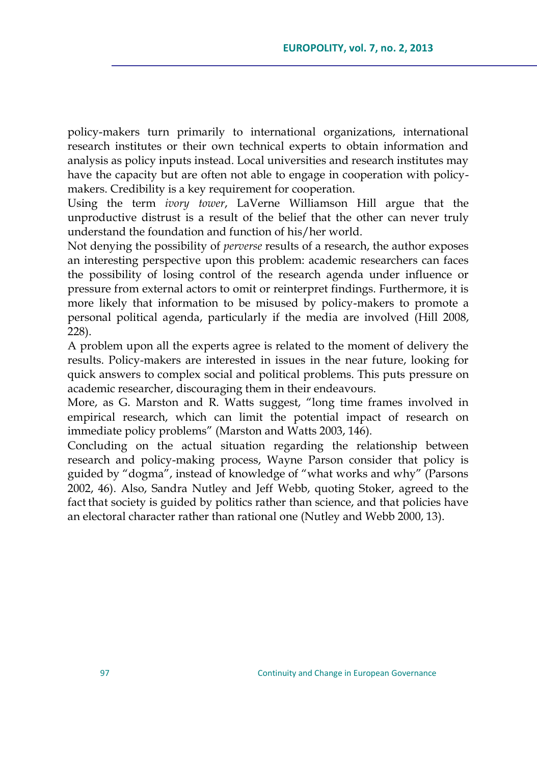policy-makers turn primarily to international organizations, international research institutes or their own technical experts to obtain information and analysis as policy inputs instead. Local universities and research institutes may have the capacity but are often not able to engage in cooperation with policymakers. Credibility is a key requirement for cooperation.

Using the term *ivory tower*, LaVerne Williamson Hill argue that the unproductive distrust is a result of the belief that the other can never truly understand the foundation and function of his/her world.

Not denying the possibility of *perverse* results of a research, the author exposes an interesting perspective upon this problem: academic researchers can faces the possibility of losing control of the research agenda under influence or pressure from external actors to omit or reinterpret findings. Furthermore, it is more likely that information to be misused by policy-makers to promote a personal political agenda, particularly if the media are involved (Hill 2008, 228).

A problem upon all the experts agree is related to the moment of delivery the results. Policy-makers are interested in issues in the near future, looking for quick answers to complex social and political problems. This puts pressure on academic researcher, discouraging them in their endeavours.

More, as G. Marston and R. Watts suggest, "long time frames involved in empirical research, which can limit the potential impact of research on immediate policy problems" (Marston and Watts 2003, 146).

Concluding on the actual situation regarding the relationship between research and policy-making process, Wayne Parson consider that policy is guided by "dogma", instead of knowledge of "what works and why" (Parsons 2002, 46). Also, Sandra Nutley and Jeff Webb, quoting Stoker, agreed to the fact that society is guided by politics rather than science, and that policies have an electoral character rather than rational one (Nutley and Webb 2000, 13).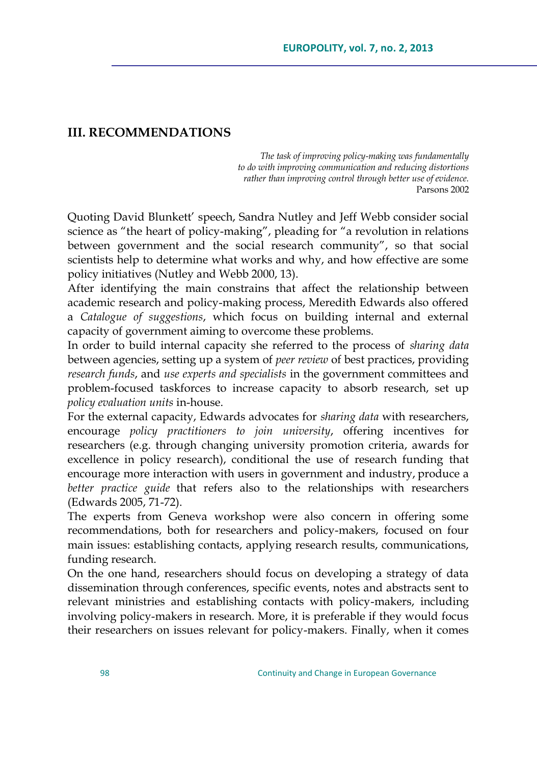## **III. RECOMMENDATIONS**

*The task of improving policy-making was fundamentally to do with improving communication and reducing distortions rather than improving control through better use of evidence.* Parsons 2002

Quoting David Blunkett" speech, Sandra Nutley and Jeff Webb consider social science as "the heart of policy-making", pleading for "a revolution in relations between government and the social research community", so that social scientists help to determine what works and why, and how effective are some policy initiatives (Nutley and Webb 2000, 13).

After identifying the main constrains that affect the relationship between academic research and policy-making process, Meredith Edwards also offered a *Catalogue of suggestions*, which focus on building internal and external capacity of government aiming to overcome these problems.

In order to build internal capacity she referred to the process of *sharing data* between agencies, setting up a system of *peer review* of best practices, providing *research funds*, and *use experts and specialists* in the government committees and problem-focused taskforces to increase capacity to absorb research, set up *policy evaluation units* in-house.

For the external capacity, Edwards advocates for *sharing data* with researchers, encourage *policy practitioners to join university*, offering incentives for researchers (e.g. through changing university promotion criteria, awards for excellence in policy research), conditional the use of research funding that encourage more interaction with users in government and industry, produce a *better practice guide* that refers also to the relationships with researchers (Edwards 2005, 71-72).

The experts from Geneva workshop were also concern in offering some recommendations, both for researchers and policy-makers, focused on four main issues: establishing contacts, applying research results, communications, funding research.

On the one hand, researchers should focus on developing a strategy of data dissemination through conferences, specific events, notes and abstracts sent to relevant ministries and establishing contacts with policy-makers, including involving policy-makers in research. More, it is preferable if they would focus their researchers on issues relevant for policy-makers. Finally, when it comes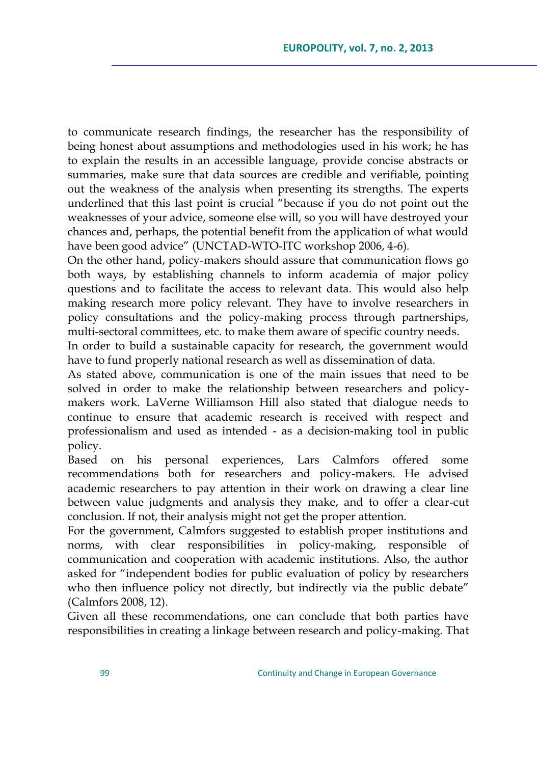to communicate research findings, the researcher has the responsibility of being honest about assumptions and methodologies used in his work; he has to explain the results in an accessible language, provide concise abstracts or summaries, make sure that data sources are credible and verifiable, pointing out the weakness of the analysis when presenting its strengths. The experts underlined that this last point is crucial "because if you do not point out the weaknesses of your advice, someone else will, so you will have destroyed your chances and, perhaps, the potential benefit from the application of what would have been good advice" (UNCTAD-WTO-ITC workshop 2006, 4-6)*.*

On the other hand, policy-makers should assure that communication flows go both ways, by establishing channels to inform academia of major policy questions and to facilitate the access to relevant data. This would also help making research more policy relevant. They have to involve researchers in policy consultations and the policy-making process through partnerships, multi-sectoral committees, etc. to make them aware of specific country needs.

In order to build a sustainable capacity for research, the government would have to fund properly national research as well as dissemination of data.

As stated above, communication is one of the main issues that need to be solved in order to make the relationship between researchers and policymakers work. LaVerne Williamson Hill also stated that dialogue needs to continue to ensure that academic research is received with respect and professionalism and used as intended - as a decision-making tool in public policy.

Based on his personal experiences, Lars Calmfors offered some recommendations both for researchers and policy-makers. He advised academic researchers to pay attention in their work on drawing a clear line between value judgments and analysis they make, and to offer a clear-cut conclusion. If not, their analysis might not get the proper attention.

For the government, Calmfors suggested to establish proper institutions and norms, with clear responsibilities in policy-making, responsible of communication and cooperation with academic institutions. Also, the author asked for "independent bodies for public evaluation of policy by researchers who then influence policy not directly, but indirectly via the public debate" (Calmfors 2008, 12).

Given all these recommendations, one can conclude that both parties have responsibilities in creating a linkage between research and policy-making. That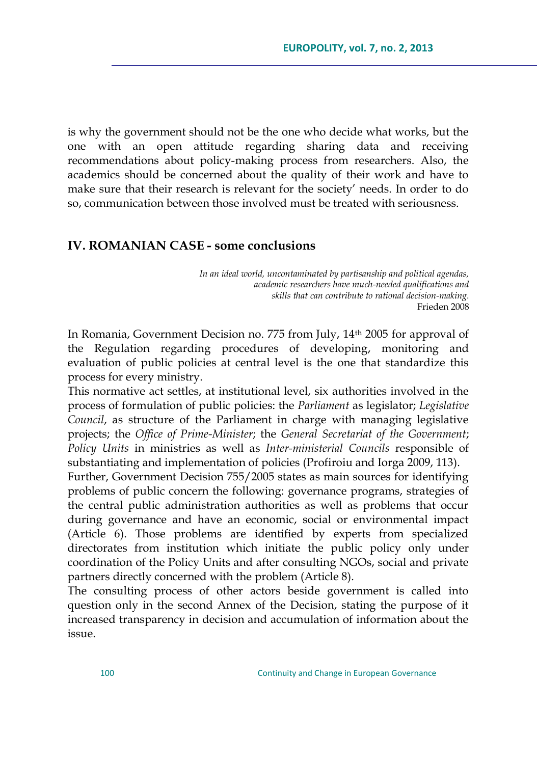is why the government should not be the one who decide what works, but the one with an open attitude regarding sharing data and receiving recommendations about policy-making process from researchers. Also, the academics should be concerned about the quality of their work and have to make sure that their research is relevant for the society' needs. In order to do so, communication between those involved must be treated with seriousness.

## **IV. ROMANIAN CASE - some conclusions**

*In an ideal world, uncontaminated by partisanship and political agendas, academic researchers have much-needed qualifications and skills that can contribute to rational decision-making.* Frieden 2008

In Romania, Government Decision no. 775 from July, 14th 2005 for approval of the Regulation regarding procedures of developing, monitoring and evaluation of public policies at central level is the one that standardize this process for every ministry.

This normative act settles, at institutional level, six authorities involved in the process of formulation of public policies: the *Parliament* as legislator; *Legislative Council*, as structure of the Parliament in charge with managing legislative projects; the *Office of Prime-Minister*; the *General Secretariat of the Government*; *Policy Units* in ministries as well as *Inter-ministerial Councils* responsible of substantiating and implementation of policies (Profiroiu and Iorga 2009, 113).

Further, Government Decision 755/2005 states as main sources for identifying problems of public concern the following: governance programs, strategies of the central public administration authorities as well as problems that occur during governance and have an economic, social or environmental impact (Article 6). Those problems are identified by experts from specialized directorates from institution which initiate the public policy only under coordination of the Policy Units and after consulting NGOs, social and private partners directly concerned with the problem (Article 8).

The consulting process of other actors beside government is called into question only in the second Annex of the Decision, stating the purpose of it increased transparency in decision and accumulation of information about the issue.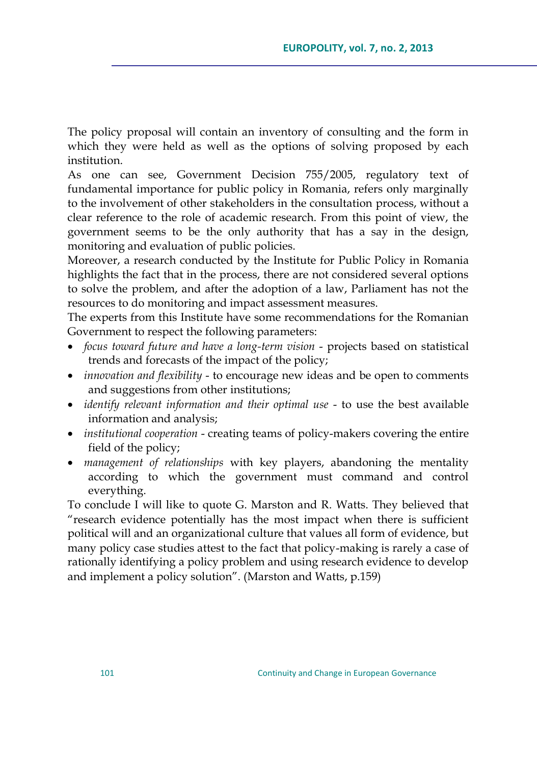The policy proposal will contain an inventory of consulting and the form in which they were held as well as the options of solving proposed by each institution.

As one can see, Government Decision 755/2005, regulatory text of fundamental importance for public policy in Romania, refers only marginally to the involvement of other stakeholders in the consultation process, without a clear reference to the role of academic research. From this point of view, the government seems to be the only authority that has a say in the design, monitoring and evaluation of public policies.

Moreover, a research conducted by the Institute for Public Policy in Romania highlights the fact that in the process, there are not considered several options to solve the problem, and after the adoption of a law, Parliament has not the resources to do monitoring and impact assessment measures.

The experts from this Institute have some recommendations for the Romanian Government to respect the following parameters:

- *focus toward future and have a long-term vision projects based on statistical* trends and forecasts of the impact of the policy;
- *innovation and flexibility*  to encourage new ideas and be open to comments and suggestions from other institutions;
- *identify relevant information and their optimal use* to use the best available information and analysis;
- *institutional cooperation*  creating teams of policy-makers covering the entire field of the policy;
- *management of relationships* with key players, abandoning the mentality according to which the government must command and control everything.

To conclude I will like to quote G. Marston and R. Watts. They believed that "research evidence potentially has the most impact when there is sufficient political will and an organizational culture that values all form of evidence, but many policy case studies attest to the fact that policy-making is rarely a case of rationally identifying a policy problem and using research evidence to develop and implement a policy solution". (Marston and Watts, p.159)